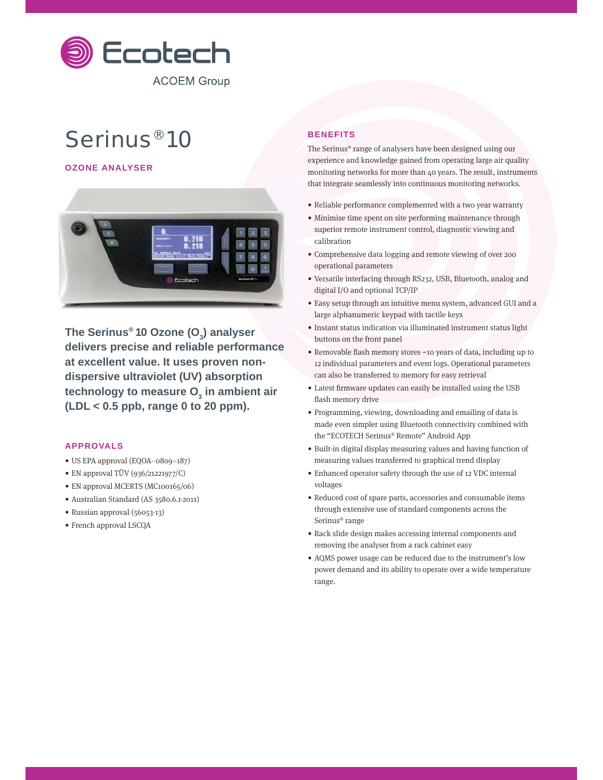

# Serinus® 10

**OZONE ANALYSER**



**The Serinus® 10 Ozone (O3 ) analyser delivers precise and reliable performance at excellent value. It uses proven nondispersive ultraviolet (UV) absorption**  technology to measure O<sub>3</sub> in ambient air **(LDL < 0.5 ppb, range 0 to 20 ppm).**

## **APPROVALS**

- US EPA approval (EQOA–0809–187)
- EN approval TÜV (936/21221977/C)
- EN approval MCERTS (MC100165/06)
- Australian Standard (AS 3580.6.1-2011)
- Russian approval (56053-13)
- French approval LSCQA

# **BENEFITS**

The Serinus® range of analysers have been designed using our experience and knowledge gained from operating large air quality monitoring networks for more than 40 years. The result, instruments that integrate seamlessly into continuous monitoring networks.

- Reliable performance complemented with a two year warranty
- Minimise time spent on site performing maintenance through superior remote instrument control, diagnostic viewing and calibration
- Comprehensive data logging and remote viewing of over 200 operational parameters
- Versatile interfacing through RS232, USB, Bluetooth, analog and digital I/O and optional TCP/IP
- Easy setup through an intuitive menu system, advanced GUI and a large alphanumeric keypad with tactile keys
- Instant status indication via illuminated instrument status light buttons on the front panel
- Removable flash memory stores ~10 years of data, including up to 12 individual parameters and event logs. Operational parameters can also be transferred to memory for easy retrieval
- Latest firmware updates can easily be installed using the USB flash memory drive
- Programming, viewing, downloading and emailing of data is made even simpler using Bluetooth connectivity combined with the "ECOTECH Serinus® Remote" Android App
- Built-in digital display measuring values and having function of measuring values transferred to graphical trend display
- Enhanced operator safety through the use of 12 VDC internal voltages
- Reduced cost of spare parts, accessories and consumable items through extensive use of standard components across the Serinus® range
- Rack slide design makes accessing internal components and removing the analyser from a rack cabinet easy
- AQMS power usage can be reduced due to the instrument's low power demand and its ability to operate over a wide temperature range.